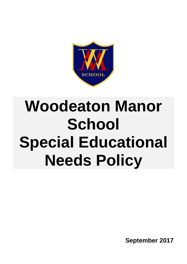

# **Woodeaton Manor School Special Educational Needs Policy**

**September 2017**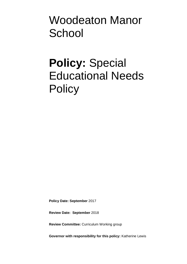Woodeaton Manor **School** 

## **Policy:** Special Educational Needs **Policy**

**Policy Date: September** 2017

**Review Date: September** 2018

**Review Committee:** Curriculum Working group

**Governor with responsibility for this policy:** Katherine Lewis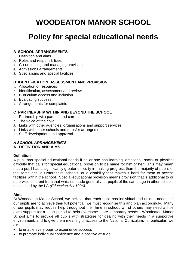## **WOODEATON MANOR SCHOOL**

## **Policy for special educational needs**

#### **A SCHOOL ARRANGEMENTS**

- 1. Definition and aims
- 2. Roles and responsibilities
- 3. Co-ordinating and managing provision
- 4. Admissions arrangements
- 5. Specialisms and special facilities

#### **B IDENTIFICATION, ASSESSMENT AND PROVISION**

- 1. Allocation of resources
- 2. Identification, assessment and review
- 3. Curriculum access and inclusion
- 4. Evaluating success
- 5. Arrangements for complaints

#### **C PARTNERSHIP WITHIN AND BEYOND THE SCHOOL**

- 1. Partnership with parents and carers
- 2. The voice of the child
- 3. Links with other agencies, organisations and support services
- 4. Links with other schools and transfer arrangements
- 5. Staff development and appraisal

#### *A SCHOOL ARRANGEMENTS* **A1 DEFINITION AND AIMS**

#### **Definition**

A pupil has special educational needs if he or she has learning, emotional, social or physical difficulty that calls for special educational provision to be made for him or her. This may mean that a pupil has a significantly greater difficulty in making progress than the majority of pupils of the same age in Oxfordshire schools, or a disability that makes it hard for them to access facilities within the school. Special educational provision means provision that is additional to or otherwise different from that which is made generally for pupils of the same age in other schools maintained by the LA *(Education Act 1996)*.

#### **Aims**

At Woodeaton Manor School, we believe that each pupil has individual and unique needs. If our pupils are to achieve their full potential, we must recognise this and plan accordingly. Many of our pupils may require help throughout their time in school, whilst others may need a little extra support for a short period to help overcome more temporary needs. Woodeaton Manor School aims to provide all pupils with strategies for dealing with their needs in a supportive environment, and to give them meaningful access to the National Curriculum. In particular, we aim:

- to enable every pupil to experience success
- to promote individual confidence and a positive attitude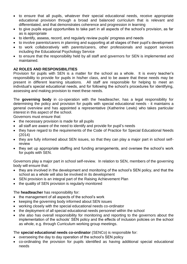- to ensure that all pupils, whatever their special educational needs, receive appropriate educational provision through a broad and balanced curriculum that is relevant and differentiated, and that demonstrates coherence and progression in learning
- to give pupils equal opportunities to take part in all aspects of the school's provision, as far as is appropriate
- to identify, assess, record, and regularly review pupils' progress and needs
- to involve parents/carers in planning and supporting at all stages of their pupil's development
- to work collaboratively with parents/carers, other professionals and support services including the Educational Psychology Service
- to ensure that the responsibility held by all staff and governors for SEN is implemented and maintained.

#### **A2 ROLES AND RESPONSIBILITIES**

Provision for pupils with SEN is a matter for the school as a whole. It is every teacher's responsibility to provide for pupils in his/her class, and to be aware that these needs may be present in different learning situations. All staff are responsible for helping to meet an individual's special educational needs, and for following the school's procedures for identifying, assessing and making provision to meet these needs.

The **governing body** in co-operation with the headteacher, has a legal responsibility for determining the policy and provision for pupils with special educational needs - it maintains a general overview and has appointed a representative (Katherine Lewis) who takes particular interest in this aspect of the school.

Governors must ensure that:

- the necessary provision is made for all pupils
- all staff are aware of the need to identify and provide for pupil's needs
- they have regard to the requirements of the Code of Practice for Special Educational Needs (2014)
- they are fully informed about SEN issues, so that they can play a major part in school selfreview
- they set up appropriate staffing and funding arrangements, and oversee the school's work for pupils with SEN.

Governors play a major part in school self-review. In relation to SEN, members of the governing body will ensure that:

- they are involved in the development and monitoring of the school's SEN policy, and that the school as a whole will also be involved in its development
- SEN provision is an integral part of the Raising Achievement Plan
- the quality of SEN provision is regularly monitored

#### The **headteacher** has responsibility for:

- the management of all aspects of the school's work
- keeping the governing body informed about SEN issues
- working closely with the special educational needs co-ordinator
- the deployment of all special educational needs personnel within the school
- she also has overall responsibility for monitoring and reporting to the governors about the implementation of the schools' SEN policy and the effects of inclusion policies on the school as whole, e.g. through Curriculum working group meetings.

#### The **special educational needs co-ordinator** (SENCo) is responsible for:

- overseeing the day to day operation of the school's SEN policy
- co-ordinating the provision for pupils identified as having additional special educational needs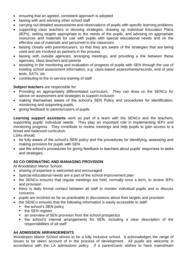- ensuring that an agreed, consistent approach is adopted
- liaising with and advising other school staff
- carrying out detailed assessments and observations of pupils with specific learning problems
- supporting class teachers in devising strategies, drawing up Individual Education Plans (IEPs), setting targets appropriate to the needs of the pupils, and advising on appropriate resources and materials for use with pupils with special educational needs and on the effective use of materials and personnel in the classroom
- liaising closely with parents/carers, so that they are aware of the strategies that are being used and are involved as partners in the process
- liaising with outside agencies, arranging meetings, and providing a link between these agencies, class teachers and parents
- assisting in the monitoring and evaluation of progress of pupils with SEN through the use of existing school assessment information, e.g. class-based assessments/records, end of year tests, SATs, etc
- contributing to the in-service training of staff

#### **Subject teachers** are responsible for:

- Providing an appropriately differentiated curriculum. They can draw on the SENCo for advice on assessment and strategies to support inclusion
- making themselves aware of the school's SEN Policy and procedures for identification, monitoring and supporting pupils.
- giving feedback to parents/carers of pupils.

**Learning support assistants** work as part of a team with the SENCo and the teachers, supporting pupils' individual needs. They play an important role in implementing IEPs and monitoring progress. They contribute to review meetings and help pupils to gain access to a broad and balanced curriculum.

LSAs should:

- be fully aware of the school's SEN policy and the procedures for identifying, assessing and making provision for pupils with SEN
- use the school's procedures for giving feedback to teachers about pupils' responses to tasks and strategies.

#### **A3 CO-ORDINATING AND MANAGING PROVISION**

At Woodeaton Manor School:

- sharing of expertise is welcomed and encouraged
- Special educational needs are a part of the school Improvement plan
- the SENCo ensures that regular meetings are held, normally once a term, to review IEPs and provision
- there is daily formal contact between all staff to monitor individual pupils and to discuss concerns
- pupils are involved as far as practicable in discussions about their targets and provision
- the SENCo ensures that the following information is easily accessible to staff:
	- the school's SEN policy
	- the SEN register
	- an overview of SEN provision from the school prospectus
	- the school's internal arrangements for SEN, including a clear description of the responsibilities of all staff

#### **A4 ADMISSION ARRANGEMENTS**

Woodeaton Manor School strives to be a fully inclusive school. It acknowledges the range of issues to be taken account of in the process of development. All pupils are welcome in accordance with the LA admissions policy. If a parent/carer wishes to have mainstream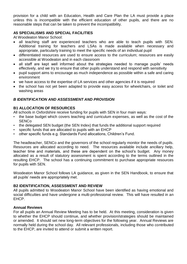provision for a child with an Education, Health and Care Plan the LA must provide a place unless this is incompatible with the efficient education of other pupils, and there are no reasonable steps that can be taken to prevent the incompatibility.

#### **A5 SPECIALISMS AND SPECIAL FACILITIES**

At Woodeaton Manor School:

- all teaching staff are experienced teachers who are able to teach pupils with SEN. Additional training for teachers and LSAs is made available when necessary and appropriate, particularly training to meet the specific needs of an individual pupil
- differentiated resources are used to ensure access to the curriculum; resources are easily accessible at Woodeaton and in each classroom
- all staff are kept well informed about the strategies needed to manage pupils' needs effectively, and we try to ensure that other pupils understand and respond with sensitivity
- pupil support aims to encourage as much independence as possible within a safe and caring environment
- we have access to the expertise of LA services and other agencies if it is required
- the school has not yet been adapted to provide easy access for wheelchairs, or toilet and washing areas

#### *B IDENTIFICATION AND ASSESSMENT AND PROVISION*

#### **B1 ALLOCATION OF RESOURCES**

All schools in Oxfordshire receive funding for pupils with SEN in four main ways:

- the base budget which covers teaching and curriculum expenses, as well as the cost of the **SENCo**
- the delegated SEN budget (the SEN Index) that funds the additional support required
- specific funds that are allocated to pupils with an EHCP
- other specific funds e.g. Standards Fund allocations, Children's Fund.

The headteacher, SENCo and the governors of the school regularly monitor the needs of pupils. Resources are allocated according to need. The resources available include ancillary help, teacher time and materials, and these are dependent on the school's budget. Any money allocated as a result of statutory assessment is spent according to the terms outlined in the resulting EHCP. The school has a continuing commitment to purchase appropriate resources for pupils with SEN.

Woodeaton Manor School follows LA guidance, as given in the SEN Handbook, to ensure that all pupils' needs are appropriately met.

#### **B2 IDENTIFICATION, ASSESSMENT AND REVIEW**

All pupils admitted to Woodeaton Manor School have been identified as having emotional and social difficulties and have undergone a multi-professional review. This will have resulted in an EHCP.

#### **Annual Reviews**

For all pupils an Annual Review Meeting has to be held. At this meeting, consideration is given to whether the EHCP should continue, and whether provision/strategies should be maintained or amended. It should set new long-term objectives for the following year. Annual Reviews are normally held during the school day. All relevant professionals, including those who contributed to the EHCP, are invited to attend or submit a written report.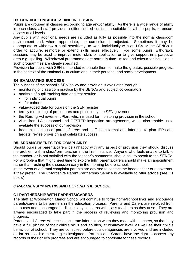#### **B3 CURRICULUM ACCESS AND INCLUSION**

Pupils are grouped in classes according to age and/or ability. As there is a wide range of ability in each class, all staff provides a differentiated curriculum suitable for all the pupils, to ensure access at all levels.

Any pupils with additional needs are included as fully as possible into the normal classroom environment and, where appropriate, the curriculum is adjusted. Sometimes it may be appropriate to withdraw a pupil sensitively, to work individually with an LSA or the SENCo in order to acquire, reinforce or extend skills more effectively. For some pupils, withdrawal sessions may be used to improve motor skills or application or to give support in a particular area e.g. spelling. Withdrawal programmes are normally time-limited and criteria for inclusion in such programmes are clearly specified.

Provision for pupils with SEN is intended to enable them to make the greatest possible progress in the context of the National Curriculum and in their personal and social development.

#### **B4 EVALUATING SUCCESS**

The success of the school's SEN policy and provision is evaluated through:

- monitoring of classroom practice by the SENCo and subject co-ordinators
- analysis of pupil tracking data and test results:
	- for individual pupils
		- for cohorts
- value-added data for pupils on the SEN register
- termly monitoring of procedures and practice by the SEN governor
- the Raising Achievement Plan, which is used for monitoring provision in the school
- visits from LA personnel and OFSTED inspection arrangements, which also enable us to evaluate the success of our provision
- frequent meetings of parents/carers and staff, both formal and informal, to plan IEPs and targets, revise provision and celebrate success.

#### **B5. ARRANGEMENTS FOR COMPLAINTS**

Should pupils or parents/carers be unhappy with any aspect of provision they should discuss the problem with a class/form teacher in the first instance. Anyone who feels unable to talk to the teacher, or is not satisfied with the teacher's comments, should ask to speak to the SENCo. For a problem that might need time to explore fully, parents/carers should make an appointment rather than rushing the discussion early in the morning before school.

In the event of a formal complaint parents are advised to contact the headteacher or a governor, if they prefer. The Oxfordshire Parent Partnership Service is available to offer advice (see C1 below).

#### *C PARTNERSHIP WITHIN AND BEYOND THE SCHOOL*

#### **C1 PARTNERSHIP WITH PARENTS/CARERS**

The staff at Woodeaton Manor School will continue to forge home/school links and encourage parents/carers to be partners in the education process. Parents and Carers are involved from the outset and encouraged to discuss any concerns with class teachers as they arise. They are always encouraged to take part in the process of reviewing and monitoring provision and progress.

Parents and Carers will receive accurate information when they meet with teachers, so that they have a full picture of their child's skills and abilities, at whatever level, as well as their child's behaviour at school. They are consulted before outside agencies are involved and are included as far as possible in strategies instigated. Parents and Carers have the right to access any records of their child's progress and are encouraged to contribute to these records.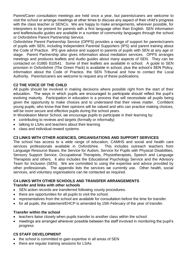Parent/Carer consultation meetings are held once a year, but parents/carers are welcome to visit the school or arrange meetings at other times to discuss any aspect of their child's progress with the class teacher or SENCo. We are happy to make arrangements, wherever possible, for interpreters to be present for parents with a first language other than English. SEN information and leaflets/audio guides are available in a number of community languages through the school or Oxfordshire Parent Partnership Service.

Oxfordshire Parent Partnership Service (OPPS) provides a range of support for parents/carers of pupils with SEN, including Independent Parental Supporters (IPS) and parent training about the Code of Practice. IPS give advice and support to parents of pupils with SEN at any age or stage. Parent Partnership also gives information about mediation services. OPPS arranges meetings and produces leaflets and Audio guides about many aspects of SEN. They can be contacted on 01865 810541. Some of their leaflets are available in school. A guide to SEN provision in Oxfordshire (The Green Pack) is available in school, plus the school's SEN Policy, information about the Code of Practice, the SEN Tribunal and how to contact the Local Authority. Parents/carers are welcome to request any of these publications.

#### **C2 THE VOICE OF THE CHILD**

All pupils should be involved in making decisions where possible right from the start of their education. The ways in which pupils are encouraged to participate should reflect the pupil's evolving maturity. Participation in education is a process that will necessitate all pupils being given the opportunity to make choices and to understand that their views matter. Confident young pupils, who know that their opinions will be valued and who can practice making choices, will be more secure and effective pupils during the school years.

- In Woodeaton Manor School, we encourage pupils to participate in their learning by:
- contributing to reviews and targets (formally or informally)
- talking to LSAs and teachers about their learning
- class and individual reward systems

#### **C3 LINKS WITH OTHER AGENCIES, ORGANISATIONS AND SUPPORT SERVICES**

The school has access to a wide range of education, CAMHS and social and health care services professionals available in Oxfordshire. This includes outreach teachers from Language Resource Bases, the Service for Autism, Service for Pupils with Physical Disabilities, Sensory Support Service, Occupational Therapists, Physiotherapists, Speech and Language Therapists and others. It also includes the Educational Psychology Service and the Advisory Team for Inclusion (SEN). We are committed to using the expertise and advice provided by other professionals. The appendix lists the services we currently use. Other health, social services, and voluntary organisations can be contacted as required.

#### **C4 LINKS WITH OTHER SCHOOLS AND TRANSFER ARRANGEMENTS Transfer and links with other schools**

- SEN action records are transferred following county procedures.
- there are opportunities for all pupils to visit the school.
- representatives from the school are available for consultation before the time for transfer.
- for all pupils, the statement/EHCP is amended by 15th February of the year of transfer.

#### **Transfer within the school**

- teachers liaise closely when pupils transfer to another class within the school
- meetings are arranged wherever possible between the staff involved in monitoring the pupil's progress

#### **C5 STAFF DEVELOPMENT**

- the school is committed to gain expertise in all areas of SEN
- there are regular training sessions for LSAs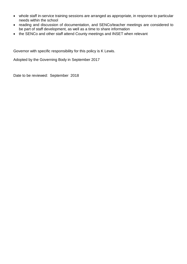- whole staff in-service training sessions are arranged as appropriate, in response to particular needs within the school
- reading and discussion of documentation, and SENCo/teacher meetings are considered to be part of staff development, as well as a time to share information
- the SENCo and other staff attend County meetings and INSET when relevant

Governor with specific responsibility for this policy is K Lewis.

Adopted by the Governing Body in September 2017

Date to be reviewed: September 2018